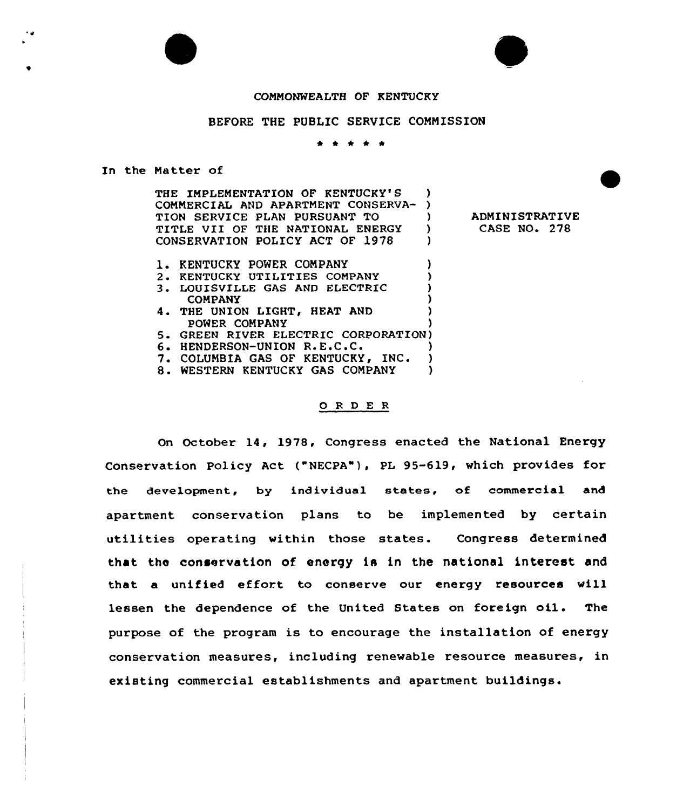#### COMMONWEALTH OF KENTUCKY

#### BEFORE THE PUBLIC SERVICE COMMISSION

\* *\* \* \** 

In the Matter of

THE IMPLEMENTATION OF KENTUCKY'S ) COMMERCIAL AND APARTMENT CONSERVA- )<br>TION SERVICE PLAN PURSUANT TO TION SERVICE PLAN PURSUANT TO TITLE VII OF THE NATIONAL ENERGY )<br>CONSERVATION POLICY ACT OF 1978 ) CONSERVATION POLICY ACT OF 1978

- 1. KENTUCKY POWER COMPANY (1999)
- 2. KENTUCKY UTILITIES COMPANY
- 3. LOUISVILLE GAS AND ELECTRIC ) COMPANY )<br>HE UNION LIGHT, HEAT AND )
- 4. THE UNION LIGHT, HEAT AND POWER COMPANY )
- 5. GREEN RIVER ELECTRIC CORPORATION)<br>6. HENDERSON-UNION R.E.C.C.
- 6. HENDERSON-UNION R.E.C.C. (a)<br>7. COLUMBIA GAS OF KENTUCKY, INC. (b)
- 7. COLUMBIA GAS OF KENTUCKY, INC. )<br>8. WESTERN KENTUCKY GAS COMPANY )
- 8. WESTERN KENTUCKY GAS COMPANY

#### ORDER

On October 14, 1978, Congress enacted the National Energy Conservation Policy Act ("NECPA"), PL 95-619, which provides for the development, by individual states, of commercial and apartment conservation plans to be implemented by certain utilities operating within those states. Congress determined that the conservation of. energy is in the national interest and that a unified effort to conserve our energy resources will lessen the dependence of the United States on foreign oil. The purpose of the program is to encourage the installation of energy conservation measures, including renewable resource measures, in existing commercial establishments and apartment buildings.

ADMINISTRATIVE CASE NO. 278



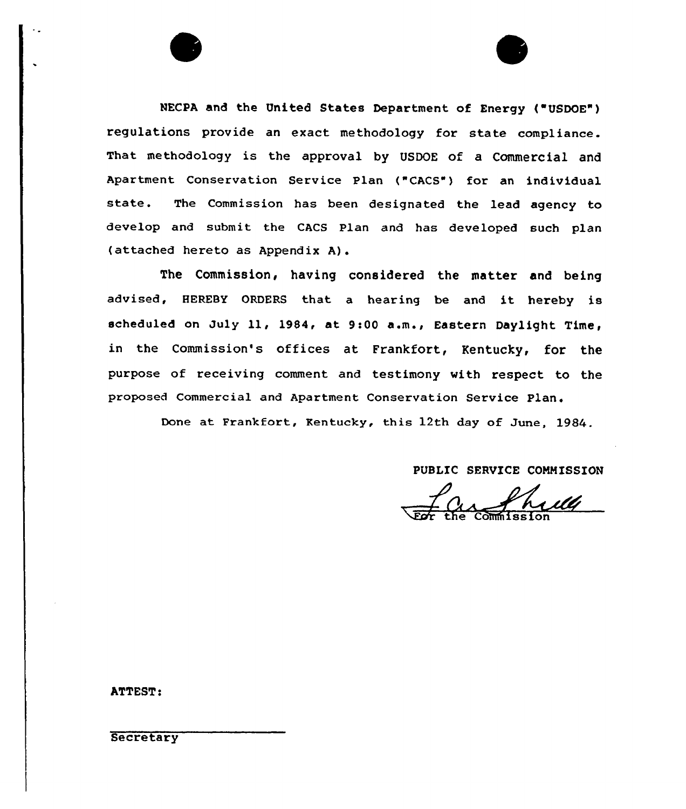NECPA and the United States Department of Energy ("USDOE") regulations provide an exact methodology for state compliance. That methodology is the approval by UsDQE of a Commercial and Apartment Conservation Service Plan ("CACS") for an individual state. The Commission has been designated the lead agency to develop and submit the CACS Plan and has developed such plan (attached hereto as Appendix A).

The Commission, having considered the matter and being advised, HEREBY ORDERS that a hearing be and it hereby is scheduled on July 11, 1984, at 9:00 a.m., Eastern Daylight Time, in the Commission's offices at Frankfort, Kentucky, for the purpose of receiving comment and testimony with respect to the proposed Commercial and Apartment Conservation Service Plan.

Done at Frankfort, Kentucky, this 12th day of June, 1984.

PUBLIC SERVICE COMMISSION

the Commissio

ATTEST:

**Secretary**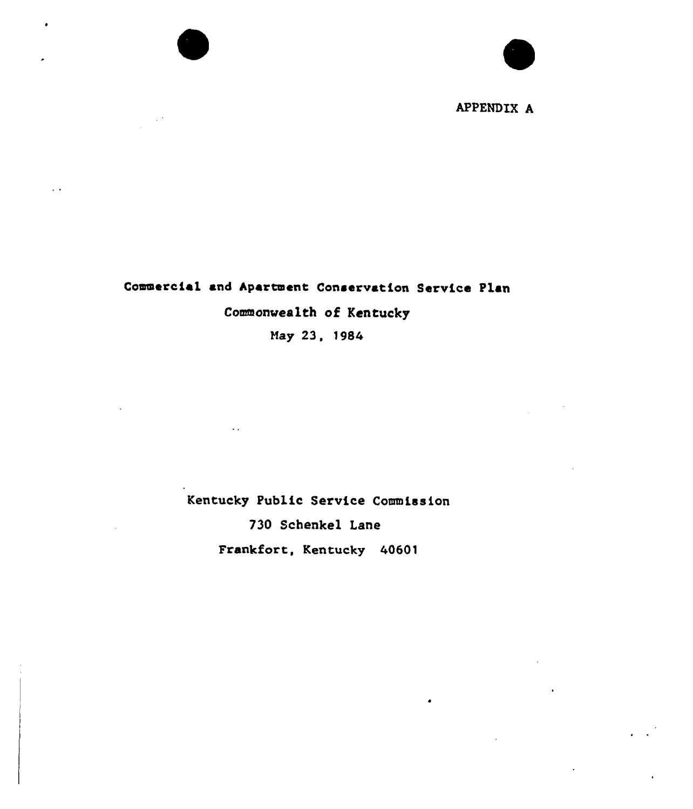APPENDIX A

# Commercial and Apartment Conservation Service Plan Commomrealth of Kentucky

 $\ddot{\phantom{a}}$ 

May 23, 1984

Kentucky Public Service Commission

 $\sim$   $\sim$ 

730 Schenkel Lane

Frankfort, Kentucky 40601

 $\bullet$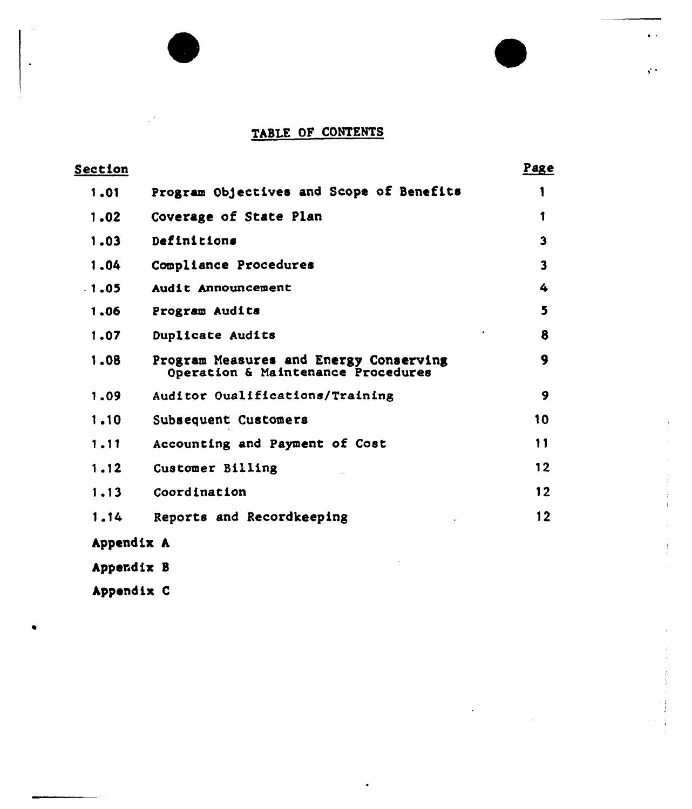# TABLE OF CONTENTS

 $\bullet$   $\rightarrow$ 

 $\mathbf{r}$ 

| Section    |                                                                              | Page                    |
|------------|------------------------------------------------------------------------------|-------------------------|
| 1.01       | Program Objectives and Scope of Benefits                                     |                         |
| 1.02       | Coverage of State Plan                                                       | 1                       |
| 1.03       | Definitions                                                                  | 3                       |
| 1.04       | Compliance Procedures                                                        | $\overline{\mathbf{3}}$ |
| $-1.05$    | Audit Announcement                                                           | 4                       |
| 1,06       | Program Audits                                                               | 5                       |
| 1.07       | Duplicate Audits                                                             | 8                       |
| 1.08       | Program Measures and Energy Conserving<br>Operation & Maintenance Procedures | 9                       |
| 1.09       | Auditor Qualifications/Training                                              | 9                       |
| 1.10       | Subsequent Customers                                                         | 10                      |
| 1.11       | Accounting and Payment of Cost                                               | 11                      |
| 1.12       | Customer Billing                                                             | 12                      |
| 1.13       | Coordination                                                                 | 12                      |
| 1.14       | Reports and Recordkeeping                                                    | 12                      |
| Appendix A |                                                                              |                         |
| Appendix B |                                                                              |                         |

Appendix C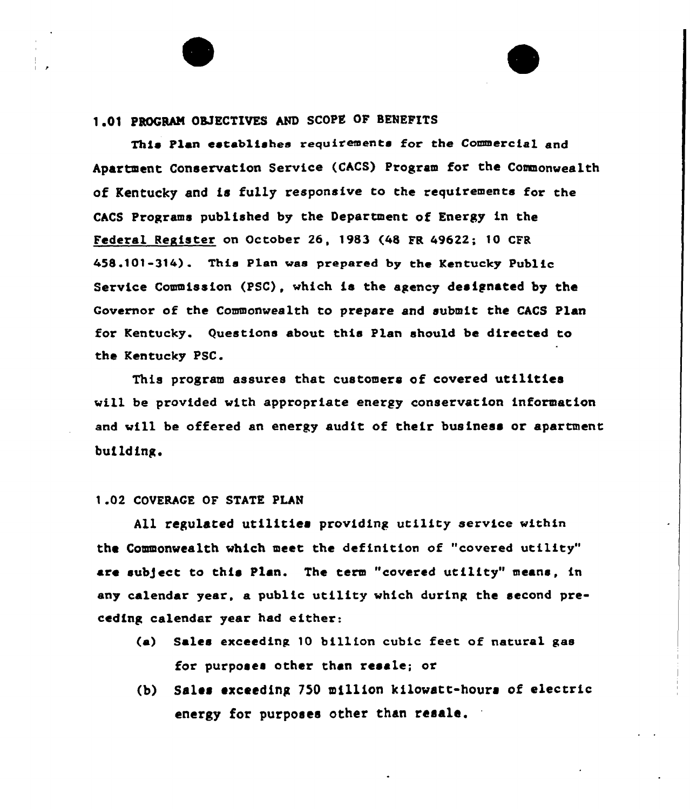# 1.01 PROGRAM OBJECTIVES AND SCOPE OF BENEFITS

This Plan establishes requirements for the Commercial and Apartment Conservation Service (CACS) Program for the Commonwealth of Kentucky and is fully responsive to the requirements for CACS Programs published by the Department of Energy in the Federal Register on October 26, 1983 (48 FR 49622; 10 CFR 458.101-314). This P1en was prepared by the Kentucky Publfc Service Commission (PSC), which is the agency designated by the Governor of the Commonwealth to prepare and submit the CACS Plan for Kentucky. Questions about this Plan should be directed to the Kentucky PSC.

This program assures that customers of covered utilities vill be provided with appropriate energy conservation information and will be offered an energy audit of their business or apartment buflding.

#### 1.02 COVERACE OF STATE PLAN

All regulated utilities providing utility service within the Commonwealth which meet the deffnition of "covered utflity" are sub)ect to this Plan. The term "covered utility" means, fn any calendar year, a public utility which during the second preceding calendar year had either:

- (a) Sales exceeding. 10 billion cubfc feet of natural gas for purposes other than resale; or
- (b) Sales exceeding <sup>750</sup> million kilowatt-hours of electric energy for purposes other than resale.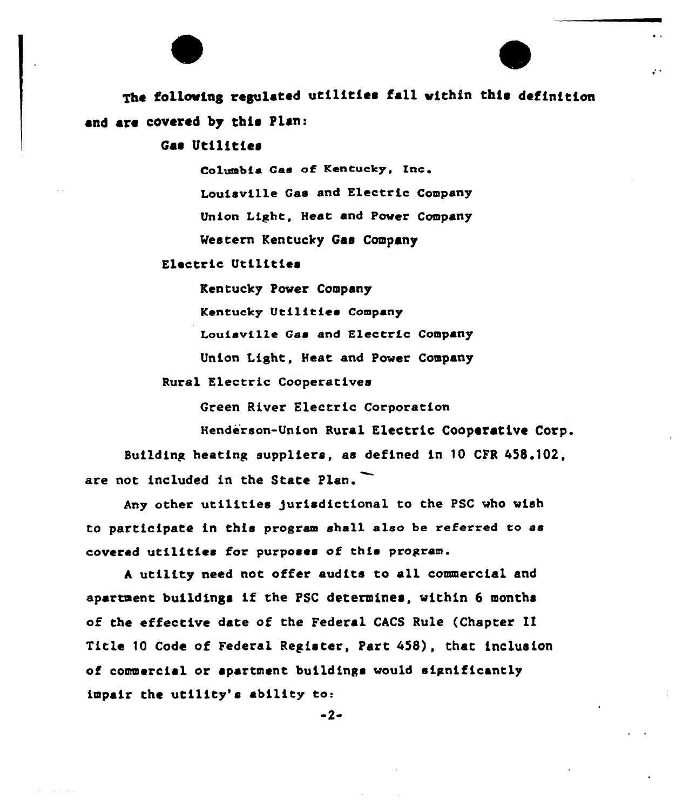# The following regulated utilities fall within this definition and are covered by this Plan:

 $\mathcal{L}^{\mathcal{A}}$ 

Gas Utilities

Columbia Gas of Kentucky, Inc. Louisville Gas and Electric Company Union Light, Heat and Power Company Western Kentucky Gas Company

## Electric Utilities

Kentucky Power Company

Kentucky Utilities Company

Louisville Gas and Electric Company

Union Light, Heat and Power Company

Rural Electric Cooperatives

Green River Electric Corporation

Henderson-Union Rural Electric Cooperative Corp. Building heating suppliers, as defined in 10 CFR 458.102, are not included in the State Plan.

Any other utilities Jurisdictional to the PSC who wish to participate in this program shall also be referred to as covered utilitics for purposes of this program.

<sup>A</sup> utility need not offer audits to all commercial and apartment buildings if the PSC determines, within <sup>6</sup> months of the effective date of the Federal CACS Rule (Chapter II Title 10 Code of Federal Register, Part 458), that inclusion of commercial or apartment buildings would significantly impair the utility's ability to:

 $-2-$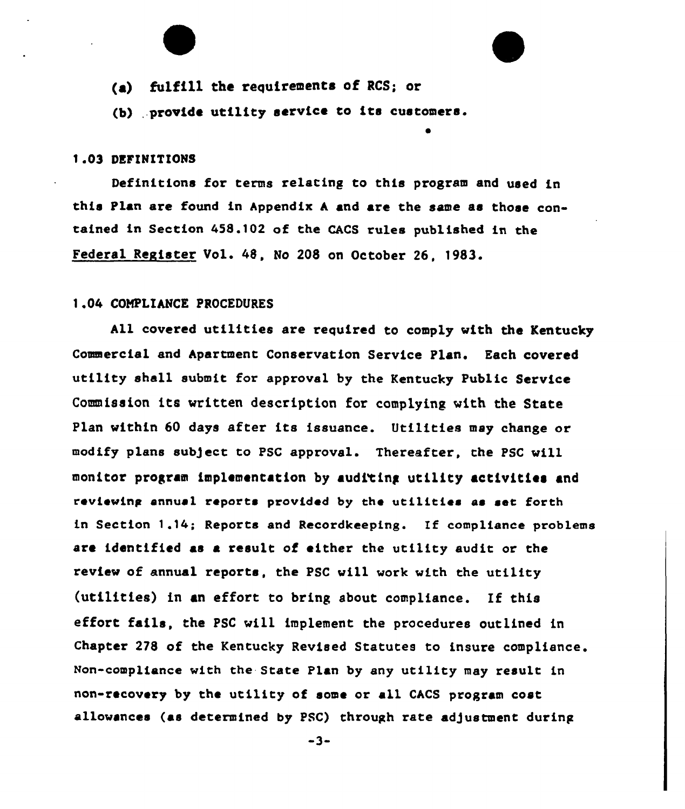- (a) fulfill the requirements of RCS; or
- (b) provide utility service to its customers.

## 1.03 DEFINITIONS

Definitions for terms relating to this program and used in this Plan are found in Appendix <sup>A</sup> and are the same as those contained in Section 458.102 of the CACS rules published in the Federal Register Vol. 48, No 208 on October 26, 1983.

## 1.04 COMPLIANCE PROCEDURES

All covered utilities are required to comply with the Kentucky Commercial and Apartment Conservation Service Plan. Each covered utility shell submit for approval by the Kentucky Public Service Commission its written description for complying with the State Plan within 60 days after its issuance. Utilities may change or modify plans sub)ect to PSC approval. Thereafter, the PSC will monitor program implementation by audi'ting utility activities and reviewing annual reports provided by the utilities as set forth in Section 1.14; Reports and Recordkeeping. If compliance problems are identified as a result of either the utility audit or the review of annual reports, the PSC will work with the utility (utilities) in an effort to bring about compliance. If this effort fails, the PSC will implement the procedures outlined in Chapter 278 of the Kentucky Revised Statutes to insure compliance. Non-compliance with the State Plan by any utility may result in non-recovery by the utility of some or a11 CACS program cost allowances (as determined by PSC) through rate adjustment during

 $-3-$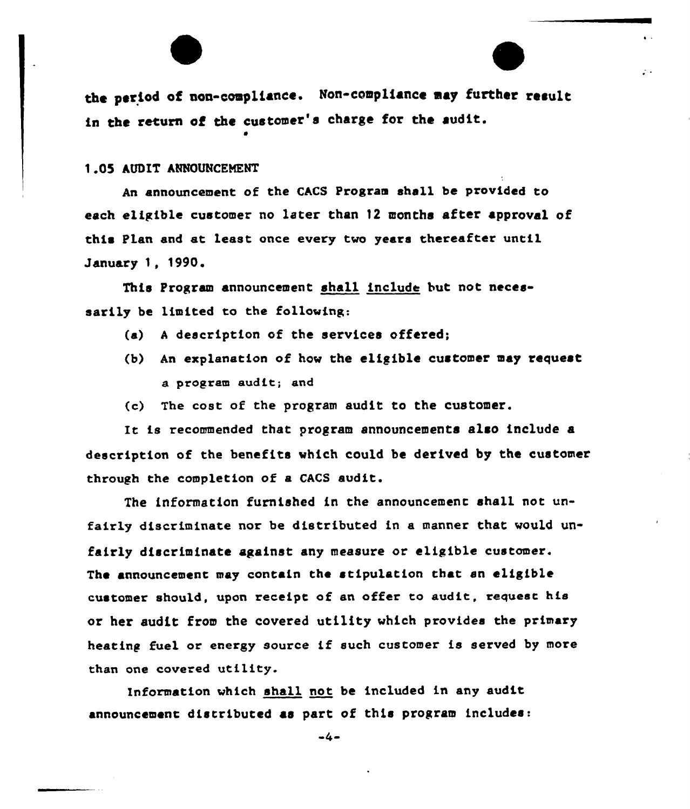the period of non-compliance. Non-compliance may further result in the return of the customer's charge for the audit.

 $\mathcal{L}$  .

<sup>1</sup> 05 AUDIT ANNOUNCEMENT

An announcement of the CACS Program shall be provided to each eligible customer no later than 12 months after approval of this Plan and at least once every two years thereafter until January 1, 1990.

This Program announcement shall include but not necessarily be limited to the following:

- (a) <sup>A</sup> description of the services offered;
- (b) An explanation of how the eligible customer may request a program audit; and
- (c) The cost of ehe program audit to the customer.

It is recommended that program announcements also include a description of the benefits which could be derived by the customer through the completion of a CACS audit.

The information furnished in the announcemene shall not unfairly discriminate nor be distributed in a manner that would unfairly discriminate against any measure or eligible customer. The announcement may contain the stipulation that an eligible customer should, upon receipt of an offer eo audie, requese his or her audit from the covered utility which provides the primary heating fuel or energy source if such customer is served by more than one covered utility.

Information which shall not be included in any audit announcement distributed as part of this program includes:

 $-4-$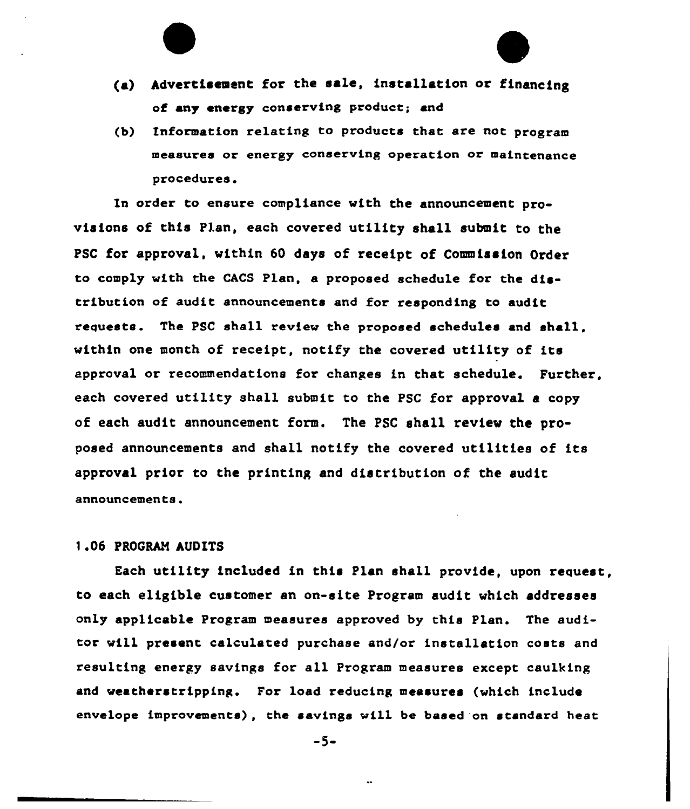- (a) Advertisement for the sale, installation or financing of any energy conserving product; and
- (b) Information relating to products that are not program measures or energy conserving operation or maintenance procedures.

In order to ensure compliance with the announcement provisions of this Plan, each covered utility shall submit to the PSC for approval, within 60 days of receipt of Commission Order to comply with the CACS Plan, a proposed schedule for the distribution of audit announcements and for responding to audit requests. The PSC shall review the proposed schedules and shall, within one month of receipt, notify the covered utility of its approval or recommendations for changes in that schedule. Further, each covered utility shall submit to the PSC for approval a copy of each audit announcement form. The PSC shall review the proposed announcements and shall notify the covered utilities of its approval prior to the printing and distribution of the audit announcements.

#### 1.06 PROGRAM AUDITS

Each utility included in this Plan shall provide, upon request, to each eligible customer an on-site Program audit which addresses only applicable Program measures approved by this Plan. The auditor will present calculated purchase and/or installation costs and resulting energy savings for all Program measures except caulking and weatherstripping. For load reducing measures (which include envelope improvenents), the savings vill. be based 'on standard beat

-5-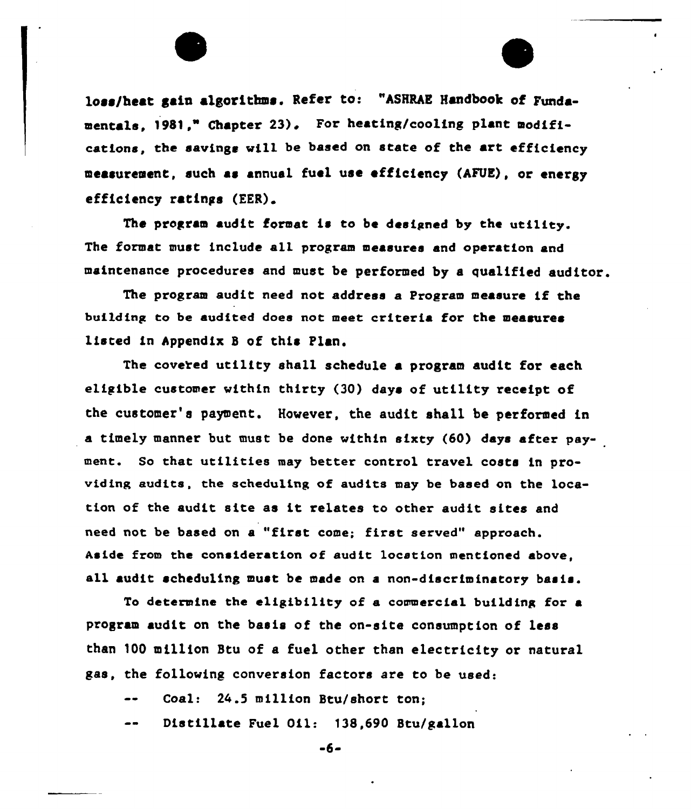loss/heat gain algorithms. Refer to: "ASHRAE Handbook of Fundamentals. 1981." Chapter 23). For heating/cooling plant modifications, the savings will be based on state of the art efficiency measurement, such as annual fuel use efficiency {AFUE), or energy efficiency ratings (EER).

The program audit format is to be designed by the utility. The format must include ell program measures end operation end maintenance procedures end must be performed by a qualified auditor.

The program audit need not address e Progrem measure if the building to be audited does not meet criteria for the measures listed in Appendix <sup>B</sup> of this Plan.

The covered utility shall schedule a program audit for each eligible customer within thirty (30) days of utility receipt of the customer's payment. However, the audit shall be performed in e timely manner but must be done within sixty (60) days after payment. So that utilities mey better control travel costs in providing audits, the scheduling of audits mey be based on the location of the audit site as it relates to other audit sites and need not be based on e "first come; first served" approach. Aside from the consideration of audit 1ocstion mentioned above, ell audit scheduling must be made on <sup>e</sup> non-discriminatory basis.

To determine the eligibility of a commercial building for e program audit on the basis of the on-site consumption of less than 100 million Btu of a fuel other than electricity or natural ges, the following conversion factors are to be used:

Coal: 24.5 million Btu/short ton;

Distillate Fuel Oil: 138,690 Btu/gallon

-6-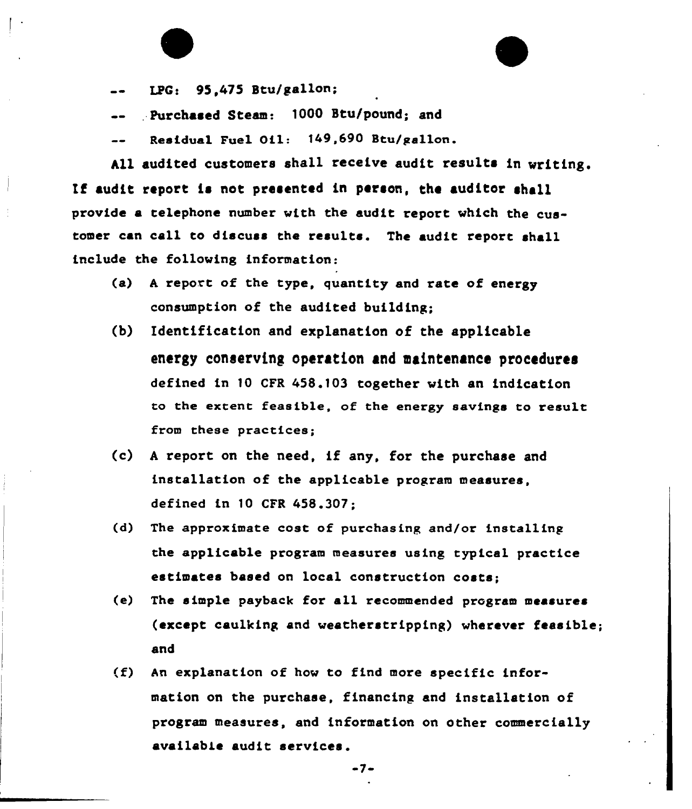LPG: 95,475 Stu/gallon;

. Purchased Steam: 1000 Stu/pound; and

Residual Fuel Oil: 149,690 Btu/gallon.

All audited customers shall receive audit results in writing. If audit report ia not presented in person, the auditor shall provide a telephone number with the audit report which the customer can call to discuss the results. The audit report shall include the following information:

- (a) <sup>A</sup> report of the type, quantity and rate of energy consumption of the audited building;
- (b) Identification and explanation of the applicable energy coneervine operation and maintenance proeedurea defined in )0 CFR 45&.f03 together with an indication to the extent feasible, of the energy savings to result from these practices;
- (c) <sup>A</sup> report on the need, if any, for the purchase and installation of the applicable program measures, defined in 10 CFR 458.307;
- (d) The approximate cost of purchasing and/or installing the applicable program measures using typical practice estimates based on local construction costs;
- (e) The simple payback for all recommended program measures (except caulking and weatherstripping) wherever feasible; and
- (f) An explanation of how to find more specific information on the purchase, financing and installation of program measures, and information on other commercially availabie audit services.

 $-7-$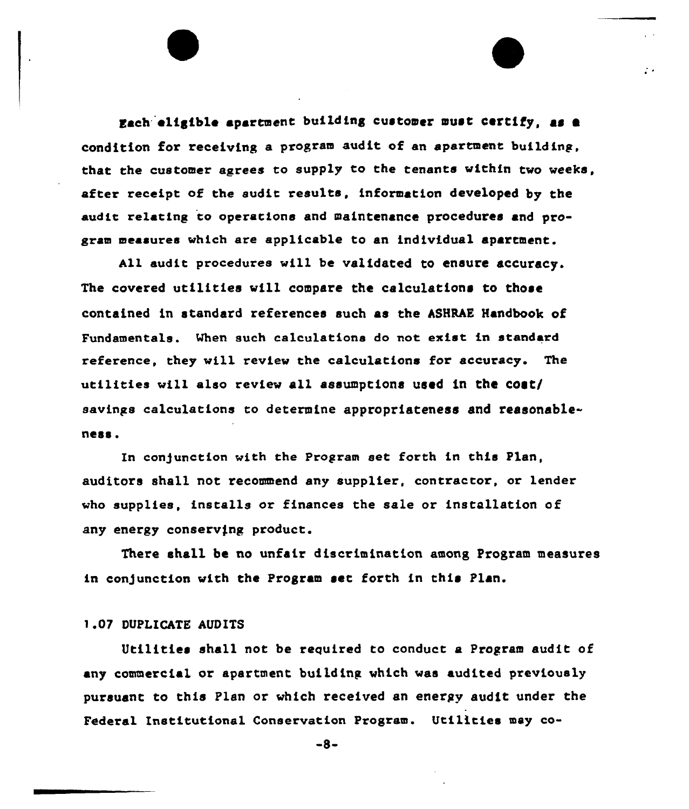Each eligible apartment building customer must certify, as condition for receiving a program audit of an apartment building, that the customer agrees to supply to the tenants within two weeks, after receipt of the audit results, information developed by the audit relating to operations and maintenance procedures and program measures which are applicable to an individual apartment.

 $\therefore$ 

All audit procedures will be validated to ensure accuracy. The covered utilities will compare the calculations to those contained in standard references such as the ASHRAE Handbook of Fundamentals. Mhen such calculations do not exist in standard reference, they will review the calculations for accuracy. The utilities will also review all assumptions used in the cost/ savings calculations to determine appropriateness and reasonableness.

In conjunction with the Program set forth in this Plan, auditors shall not recommend any supplier, contractor, or lender who supplies, installs or finances the sale or instellation of any energy conserving product.

There shall be no unfair discrimination among Program measures in conjunction with the Program set forth in this Plan.

#### 1.07 DUPLICATE AUDITS

Utilities shall not be required to conduct a Program audit of any commercial or apartment building. which was audited previously pursuant to this Plan or which received an energy audit under the Federal Institutional Conservation Program. Utilities may co-

-8-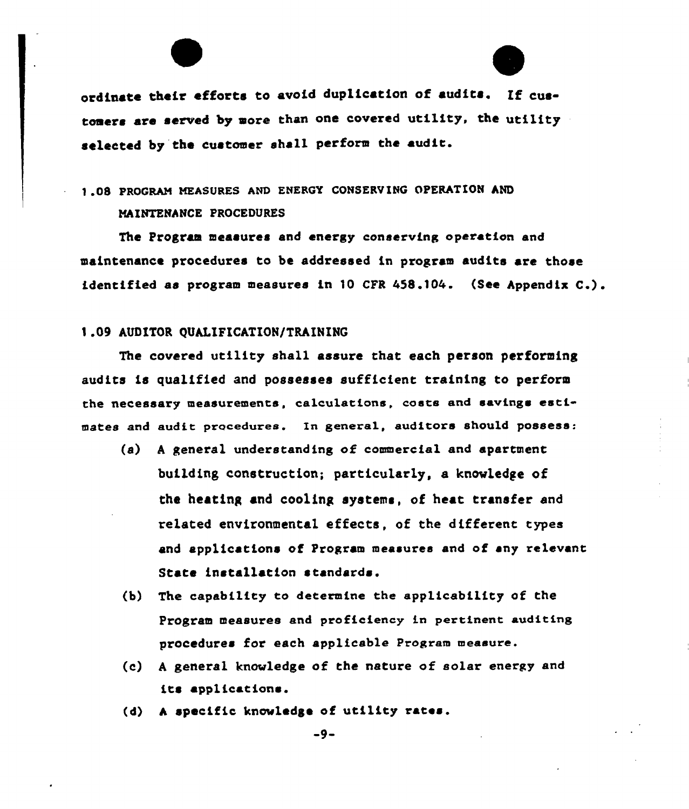ordinate their efforts to avoid duplication of audits. tomers are served by more than one covered utility, the utility selected by the customer shall perform the audit.

# <sup>1</sup> .08 PROGRAM MEASURES AND ENERGY CONSERVIHG OPERATION AND NAINTENANCK PROCEDURES

The Program measures and energy conserving operation and maintenance procedures to be addressed in program audits are those identified as program measures in 10 CFR 458.104. (See Appendix C.).

## 1.09 AUDITOR OUALIFICATION/TRAINING

The covered utility shall assure that each person performing audits is qualified and possesses sufficient training to perform the necessary measurements, calculations, caste and savings estimates and audit proceduree. In general, auditors should possess:

- $(a)$  A general understanding of commercial and apartment building construction; particularly, a knowledge of the heating and cooling systems, of heat transfer and related environmental effects, of the different types and applications of Program measures and of any relevant State installation standards.
- (b) The capability to determine the applicability of the Program measures and proficiency in pertinent auditing procedures for each applicable Program meaeure.
- (c) <sup>A</sup> general knowledge of the nature of solar energy and its applications.
- (d) A specific knowledge of utility rates.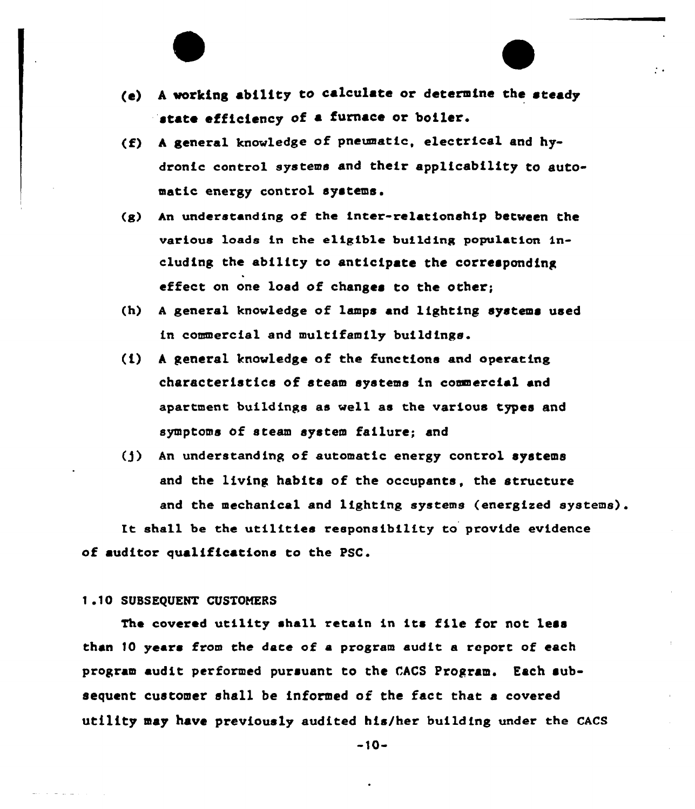(e) A working ability to calculate or determine the steady state efficiency of a furnace or boiler.

 $\sim$   $\sim$ 

- (f) <sup>A</sup> general knowledge of pneumatic, electrical and hydronic control systems and their applicability to automatic energy control systems.
- (g) hn understanding of the inter-relationship between the various loads in the eligible building population ineluding the ability to anticipate the corresponding effect on one load of changes to the other;
- (h) A general knowledge of lamps and lighting systems used in commercial and multifamily buildings.
- $(1)$  A general knowledge of the functions and operating characteristics of steam systems in commercial and apartment buildings as well as the various types and symptoms of steam system failure; and
- (]) An understanding of automatic energy control systems and the living habits of the occupants, the structure and the mechanical and lighting systems (energised systems).

It sha11 be the uti1ities responsibi1ity to provide evidence of auditor qualifications to the PSC.

#### 1.10 SUBSEQUENT CUSTOMERS

The covered utility shall retain in its file for not less than 10 years from the date of a program audit a report of each program audit performed pursuant to the CACS Program. Each subsequent customer shall be informed of the fact that a covered utility may have previously audited his/her building under the CACS

-10-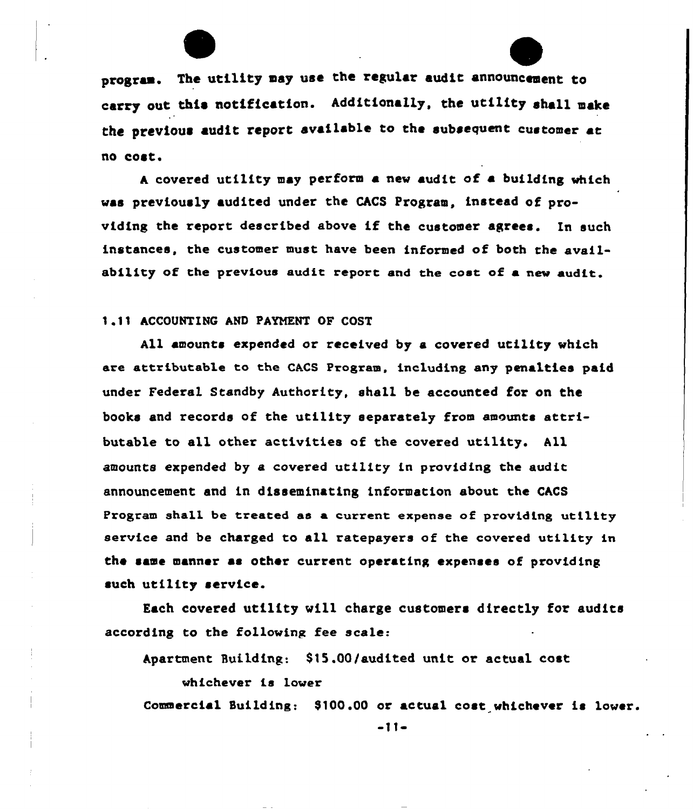program. The utility may use the regular audit announcement to carry out this notification. Additionally, the utility shall make the previous audit report available to the subsequent customer at no cost.

<sup>A</sup> covered utility may perform a new audit of a building which was previously audited under the CACS Program, instead of providing the report described above if the customer agrees. In such instances, the customer must have been informed of both the availability of the previous audit report and the cost of a new audit.

<sup>1</sup> 11 ACCOUNTING AND PAYNENT OF COST

All amounts expended or received by a covered utility which are attributable to the CACS Program, including any penalties paid under Federal Standby Authority, shall be accounted for on the books and records of the utility separately from amounts attributable to all other activities of the covered utility. All amounts expended by a covered utility in providing the audit announcement and in disseminating information about the CACS Program shall be treated as a current expense of providing utility service and be charged to all ratepayers of the covered utility in the same manner as other current operating expenses of providing such utility service.

Each covered utility vi11 charge customers directly for audits according to the following fee scale:

Apartment Building: \$15.00/audited unit or actual cost

whichever is 1over

Commercial Building: \$100.00 or actual cost whichever is lower.

-11-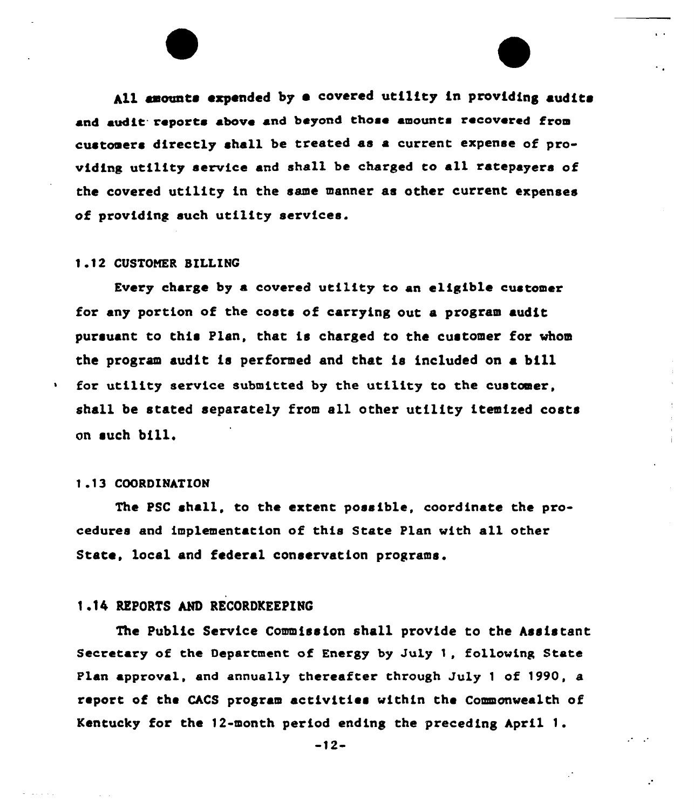All amounts expended by a covered utility in providing audits and audit. reports above and beyond those amounts recovered from customers directly shall be treated as a current expense of providing utility service and shall be charged to a11 ratepayers of the covered utility in the same manner as other current expenses of providing such utility services.

#### 1.12 CUSTONER SILLINC

Every charge by a covered utility to an eligible customer for any portion of the costs of carrying out a program audit, pursuant to this Plan, that is charged to the customer for whom the program audit is performed and that is included on a bi11 for utility service submitted by the utility to the customer, shall be stated separately from all other utility itemized costs on such bill.

### <sup>1</sup> .<sup>1</sup> <sup>3</sup> COORDINATION

 $\mathbf{v}$ 

The PSC shall, to the extent possible, coordinate the procedures and implementation of this State Plan with all other State, local and federal conservation programs.

### 1.14 REPORTS AND RECORDKEEPING

The Public Service Commission shall provide to the Assistant Secretary of the Department of Energy by July 1, following State Plan approval, and annually thereafter through July 1 of 1990, a report of the CACS program activities within the Commonvealth of Kentucky for the 12-month period ending the preceding April 1.

-12-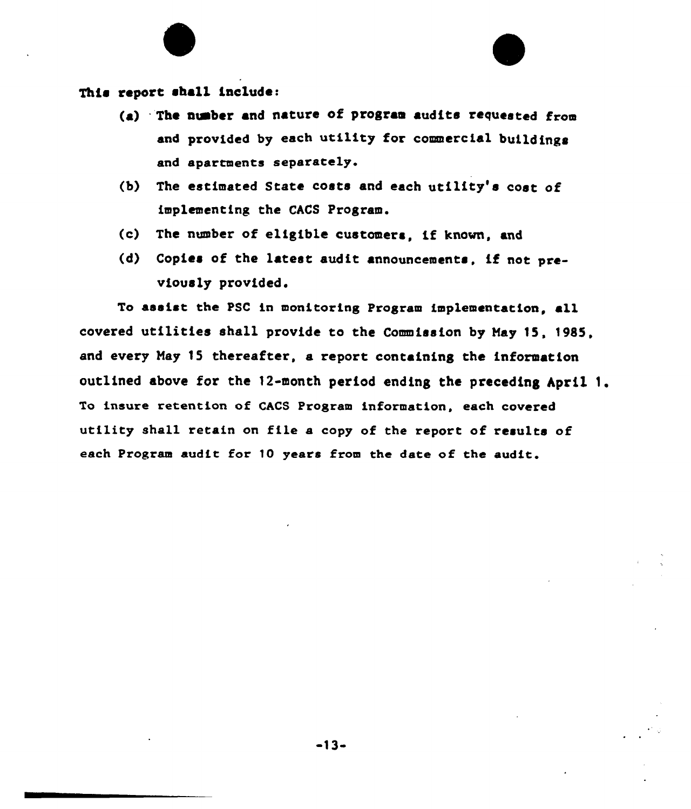# This report shall include:

- (a) The number and nature of program audits requested from and provided by each utility for commercial buildings and apartments separately.
- (b) The estimated State costs and each utility's cost of implementing the CACS Program.
- (c) The number of eligible customers, if known, and
- (d) Copies of the latest audit announcements, if not previovsly provided.

To assist the PSC in monitoring Program implementation, all covered utilities shall provide to the Commission by May 15, 1985, and every Nay 15 thereafter, a report containing the information outlined above for the 12-month period ending the preceding April 1. To insure retention of CACS Program information, each covered utility shall retain on file a copy of the report of results of each Program audit for 10 years from the date of the audie.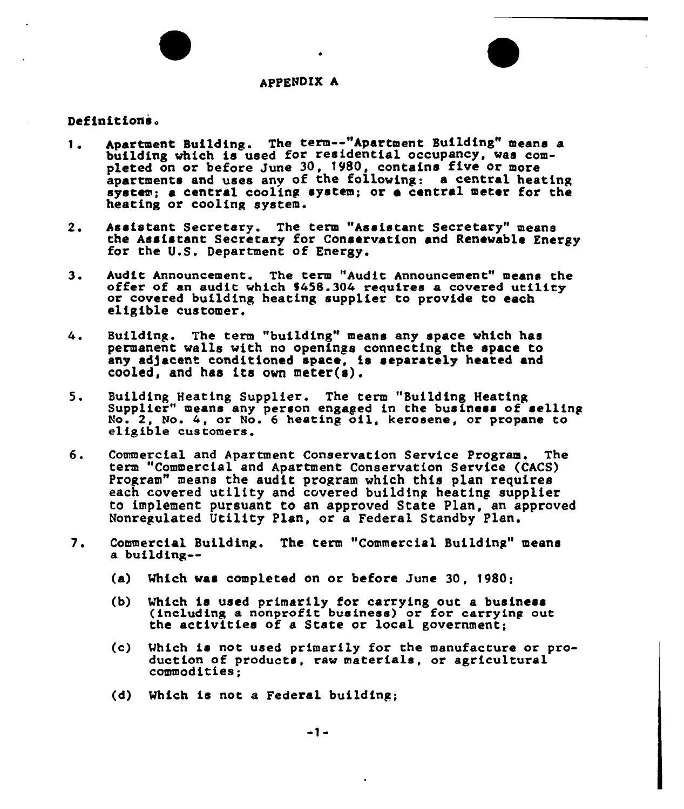#### AppENDIX A

#### Definitions.

- Apartment Building. The term--"Apartment Building" means a 1. building which is used for residential occupancy, was compuilding which is used for residential occupancy, was contained by apartments and uses any of the following: a central heating system; a central cooling system; or o central meter for the heating or cooling system.
- $2.$ Assistant Secretary. The term "Assistant Secretary" means the Assistant Secretary for Conservation and Renewable Energy for the U.S. Department of Energy.
- Audit Announcement. The term "Audit Announcement" means the offer of an audit which \$458.304 requires a covered utility  $3.$ or covexed building heating supplier to provide to each eligible customex'.
- Building. The term "building" means any space which has 4. permanent walls with no openings connecting the space to any adjacent conditioned space, is separately heated and cooled, and has its own meter(s).
- Building Heating Suppliex'. The term "Building Heating  $5.$ Supplier" means any person engaged in the business of selling No. 2, No. 4, or No. 6 heating oil, kerosene, or propane to eligible customers.
- 6. Commercial and Apartment Conservation Service Program. The term "Commercial end Apartment Conservation Service (CACS) Program" means the audit program which this plan require each covered utility and covered building heating supplier to implement pursuant to an approved State Plan, an approved Nonregulated Utility Plan, or a Federal Standby Plan.
- 7. Commercial Building. The term "Commercial Building" means a building--
	- (a) Which was completed on or before June 30, 1980;
	- (b) Which is used primarily for carrying out a business (including a nonprofit business) or for carrying out the activities of e State or local government;
	- (c) Which is not used primarily for the manufacture or production of products, raw materials, or agricultural commodities;
	- (d) Which is not e Federal building;

 $-1-$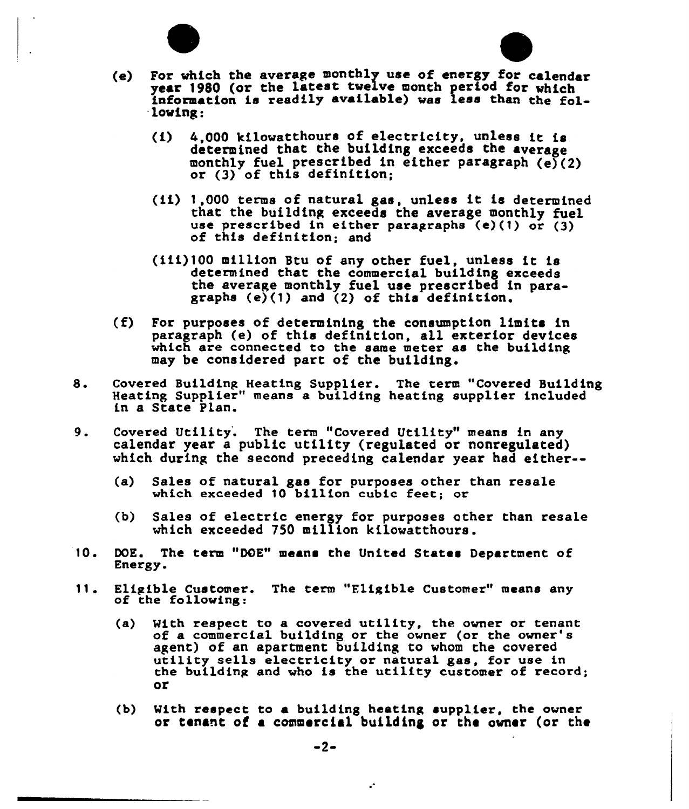



- $(1)$  4.000 kilowatthours of electricity, unless it is determined that the building exceeds the average monthly fuel prescribed in either paragraph  $(e)(2)$ or (3) of this definition;
- (if) 1,000 terms of natural gas, unless ft is determined that the buildfng exceeds the average monthly fuel use prescribed in either paragraphs (e)(1) or (3) of this definition; and
- (ifi) <sup>100</sup> million Btu of any other fuel, unless it is determined that the commercial building exceeds the average monthly fuel use prescribed in paragraphs (e)(1) and (2) of this definition
- $(f)$  For purposes of determining the consumption limits in paragraph (e) of this definition, all exterfor devices which are connected to the same meter as the building may be considered part of the building.
- 8. Covered Building Heating Supplier. The term "Covered Building Heating Supplier" means a buildfng heating supplier included in a State Plan.
- 9. Covered Utility. The term "Covered Utility" means in any calendar year a public utility (regulated or nonregulated) which during the second preceding calendar year had either--
	- (a) Sales of natural gas for purposes other than resale which exceeded 10 billion cubic feet; or
	- (b) Sales of electric energy for purposes other than resale which exceeded 750 million kilowatthours.
- 10. DOE. The term "DOE" means the United States Department of Energy.
- 11. Eligible Customer. The term "Eligible Customer" means any of the following:
	- (a) With respect to a covered utility, the owner or tenant of a commercial building or the owner (or the owner's agent) of an apartment building to whom the covered utility sells electricity or natural gas, for use in the building and who is the utility customer of record; or
	- (b} With respect to a building heating supplier, the owner or tenant of a commercfal building or the owner (or the

÷.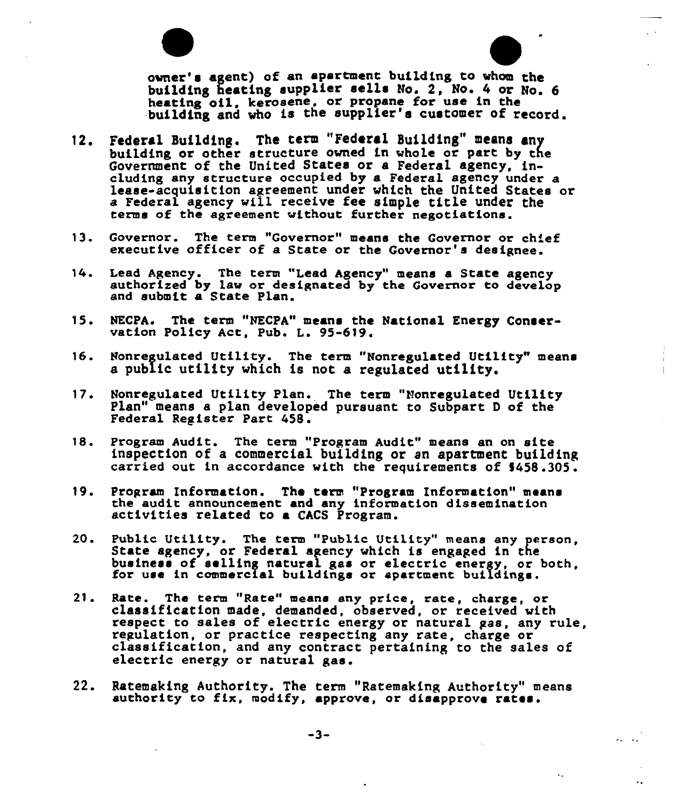owner's agent) of an apartment building to whom the building heating supplier sells No. 2, No. 4 or No. 6 heating oil, kerosene, or propane for use in the building and who is the supplier's customer of record.

- 12. Federal Building. The term "Federal Building" means any building or other structure owned in whole or part by the Government of the United States or a Federal agency, in eluding any structure occupied by a Federal agency under a lease-acquisition agreement under which the United States or a Federal agency will receive fee simple title under the terms of the agreement without further negotiations.
- 13. Governor. The term "Governor" means the Governor or chief executive officer of a State or the Governor's designee
- 14. Lead Agency. The term "Lead Agency" means <sup>a</sup> State agency authorized by law or designated by the Governor to develop and submit a State Plan.
- 15. NECPA. The term "NECPA" means the National Energy Conservation Policy Act, Pub. L. 95-619.
- 16. Honregulated Utility. The term "Nonregulated Utility" means a public utility which is not a regulated utility.
- Nonregulated Utility Plan. The term "Nonregulated Utility  $17.$ Plan" means a plan developed pursuant to Subpart <sup>D</sup> of the Federal Register Part <sup>458</sup> .
- 18. Program Audit. The term "Program Audit" means an on site inspection of a commercial building or sn apartment building carried out in accordance with the requirements of \$458.305.
- 19. Program Information. The term "Program Information" means the audit announcement and any information dissemination activities related to <sup>a</sup> CACS Program.
- 20. Public Utility. The term "Public Utility" means any person, State agency, or Federal agency which is engaged in the business of selling natural gas or electric energy, or both, for use in commercial buildings.
- 21. Rate. The term "Rate" means any price, rate, charge, or classification made, demanded, observed, or received with respect to sales of electric energy or natural gas, any rule,<br>regulation, or practice respecting any rate, charge or classification, and any contract pertaining to the sales of electric energy or natural gas.
- 22. Ratemaking Authority. The term "Ratemaking Authority" mean authority to fix, modify, approve, or disapprove rates.

 $\ddotsc$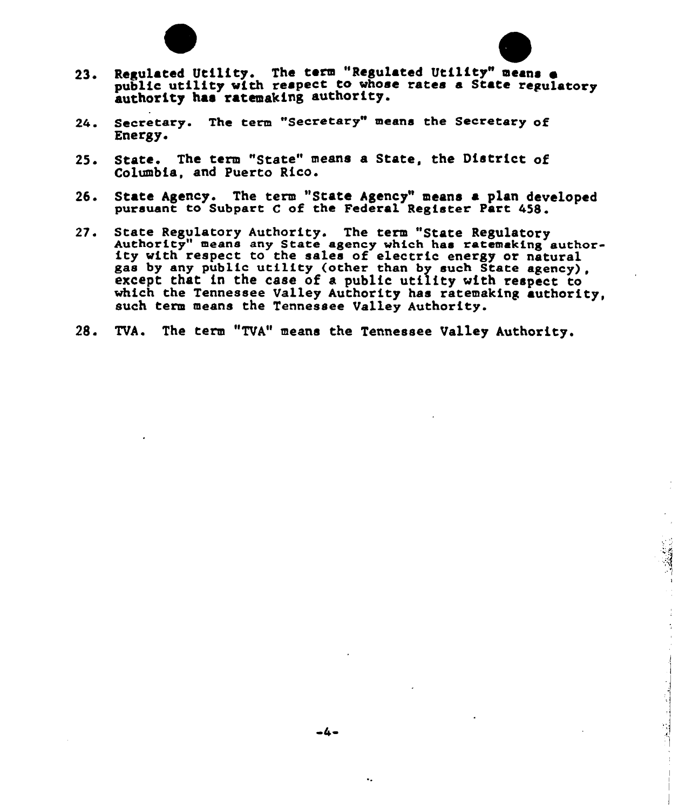



- Regulated Utility. The term "Regulated Utility" means o public utility with respect to whose rates a State regulator authority has ratemaking authority.
- 24. Secretary. The term "Secretary means the Secretary of Energy.
- 25. State. The term "State" means a State, the District of Columbia, and Puerto Rico.
- 26. State Agency. The term "State Agency" means a plan developed pursuant to Subpart <sup>C</sup> of the Federal Register Part 458.
- 27. State Regulatory Authority. The term "State Regulatory Authority" means any State agency which has ratemsking author- ity with respect to the sales of electric energy or natural gas by any public utility (other then by such State agency), except that in the case of a public utility with respect to which the Tennessee Valley Authority has ratemaking authority, such term means the Tennessee Valley Authority.
- 28. TVA. The term "TVA" means the Tennessee Valley Authority.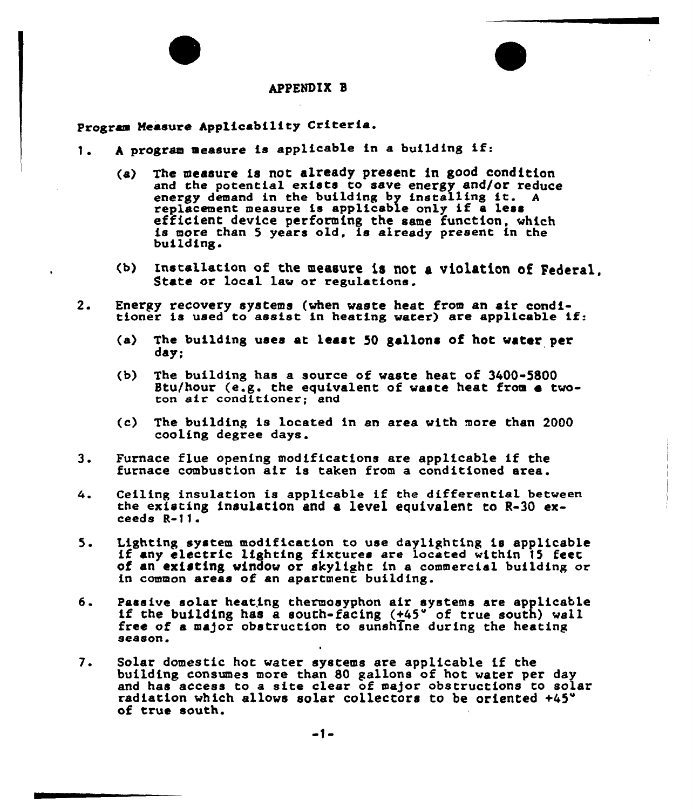#### APPENDIR I

# Program Measure Applicability Criteria.

- 1. A program measure is applicable in a building if:
	- (a) The measure is not already present in good condition and the potential exists to save energy and/or reduce energy demand in the building by installing it. A replacement measure is applicable only if a less efficient device performing the same function, which<br>is more than 5 years old, is already present in the building.
	- (b) Installation of the measure is not a violation of Federal,<br>State or local law or regulations.
- 2. Energy recovery systems (when waste heat from an air condi-<br>tioner is used to assist in heating water) are applicable if:
	- (a) The building uses at least 50 gallons of hot water per day;
	- (b) The building has a source of waste heat of  $3400 5800$ Stu/hour (e.g. the equivalent of waste heat from e twoton air conditioner; and
	- (c) The building is located in sn area with more than 2000 cooling degree days.
- 3. Furnace flue opening modifications are applicable if the furnace combustion air is taken from a conditioned area.
- Ceiling insulation is applicable if the differential between 4. the existing insulation and a level equivalent to R-30 exceeds R-11
- 5. Lighting system modification to use daylighting is applicable if any electric lighting fixtures are located within 15 feet of an existing window or skylight in a commercial building or in common areas of an apartment building.
- Passive solar heating thermosyphon air systems are applicable if the building has a south-facing  $(+45"$  of true south) wall б. free of a major obstruction to sunshine during the heating season.
- $7.$ Solar domestic hot water systems sre applicable if the building consumes more than 80 gallons of hot water per day boriding consumes more than ob garrons of not water per day radiation which allows solar collectors to be oriented +45" of true south.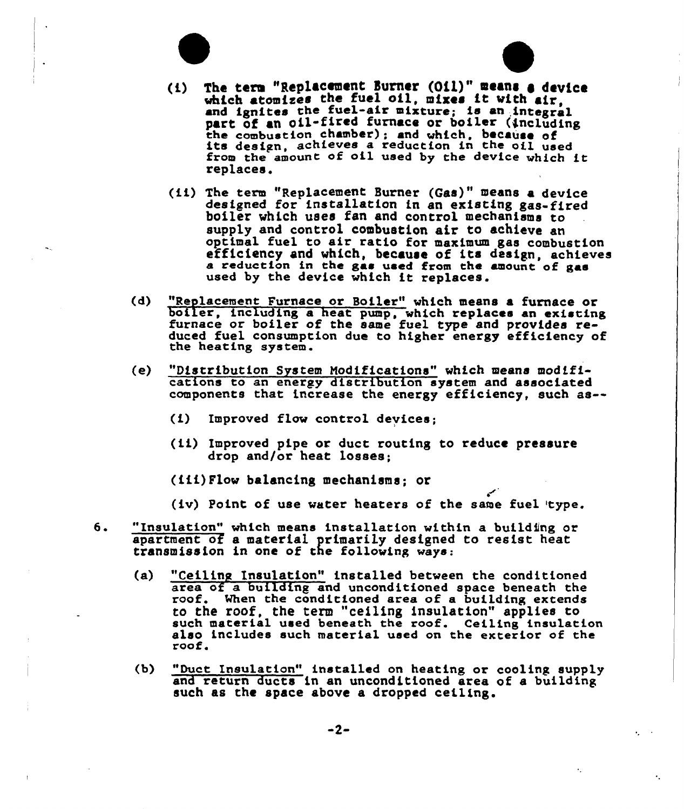



- (ii) The term "Replacement Burner (Gas)" means <sup>a</sup> device designed for installation in an existing gas-fired boiler which uses fan and control mechanisms to supply and control combustion air to achieve en optimal fuel to air ratio for maximum gas combustion efficiency and which, because of its design, achieves <sup>a</sup> reduction in the gas used from the amount of gas used by the device which it replaces.
- (d) "Replacement Furnace or Boiler" which means <sup>a</sup> furnace or boiler, including <sup>a</sup> heat pump, which replaces an existing furnace or boiler of the same fuel type and provides reduced fuel consumption due to higher energy efficiency of the heating system.
- {e) "Distribution System Nodifications" which means modifications to an energy distribution system and associate components that increase the energy efficiency, such as--
	- (i) Improved flow control devices;
	- (ii) Improved pipe or duct routing to reduce pressure drop and/or heat losses;
	- (Cii) Flow balancing mechanisms; or
	- {iv) Point of use water heaters of the same fuel 'type.
- "Insulation" which means installation within a building or 6. apartment of a material primarily designed to resist heat transmission in one of the following ways:
	- (a) "Ceiling Insulation" installed between the conditione area of a building and unconditioned space beneath the roof. When the conditioned area of a building extends roof. When the conditioned area of a building extends to the roof, the term "ceiling insulation" applies to such materia1 used beneath the roof. Ceiling insulation also includes such material used on the exterior of the roof.
	- (b) "Duct Insulation" installed on heating or cooling supply and return ducts in an unconditioned area of a buildin such as the space above a dropped ceiling.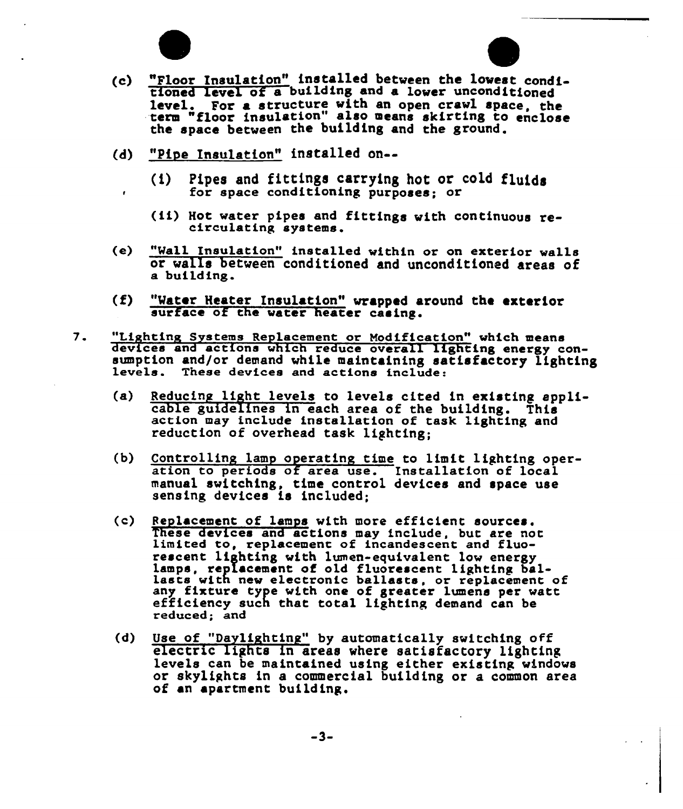

 $\bullet$ 



- (c) "Floor insulation" installed between the lovest conditioned level of a building and a lower unconditione level. For a structure with an open crawl space, the term "floor insulation" also means skirting to enclose the space betveen the building and the ground.
- "Pipe Insulation" installed on--
	- (i) Pipes and fittings carrying hot or cold fluids for space conditioning purposes; or
	- (ii) Hot water pipes and fittings with continuous re- circulating systems.
- (e) "Wall Insulation" installed within or on exterior walls or veils between conditioned and unconditioned areas of a building.
- "Water Heater Insulation" wrapped around the exterior surface of the water heater casing.  $(f)$
- 7. "Lighting Systems Replacement or Modification" which means<br>devices and actions which reduce overall lighting energy consumption and/or demand while maintaining satisfactory lighting<br>levels. These devices and actions include:
	- $(a)$ Reducing light levels to levels cited in existing appli-<br>cable guidelines in each area of the building. This<br>action may include installation of task lighting and reduction of overhead task lighting;
	- $(b)$ Controlling lamp operating time to limit lighting operation to periods of area use. Installation of local manua1 switching, time control devices and space use sensing devices is included;
	- (c) Replacement of lamps with more efficient sources.<br>These devices and actions may include, but are not limited to, replacement of incandescent and fluorescent lighting with lumen-equivalent low energy<br>lamps, replacement of old fluorescent lighting ballasts with new electronic ballasts, or replacement of any fixture type with one of greater lumens per watt<br>efficiency such that total lighting demand can be reduced; and
	- Use of \*'Daylighting" by automatically svitching off electric lights in areas where satisfactory lighting levels can be maintained using either existing vindows or skylights in <sup>a</sup> commercial building or <sup>a</sup> common area of an apartment building.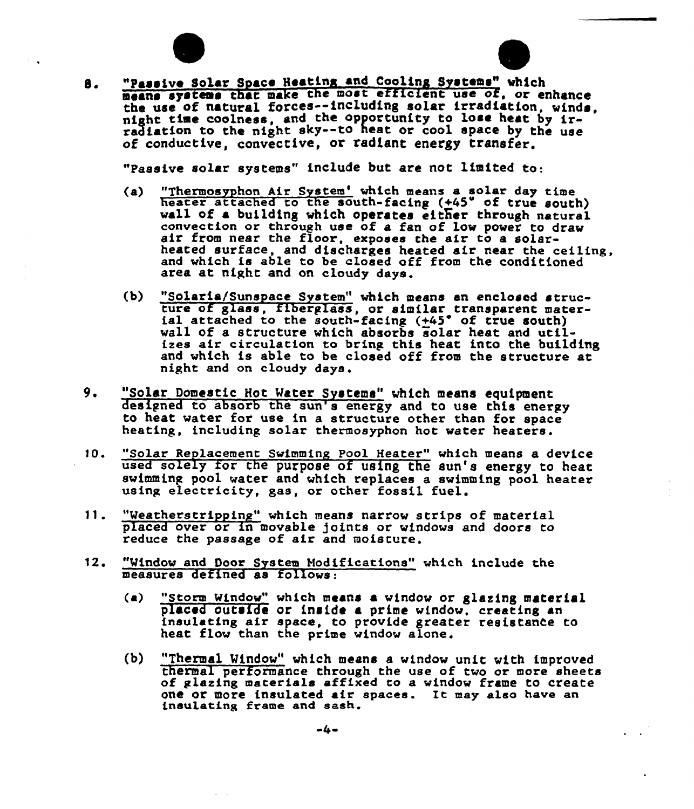



"passive Solar Syace Heating and Cooling Systems" which 8. means systems that make the most efficient use of, or enhance the use of natural forces--including solar irradiation, winds, night time coolness, and the opportunity to lose heat by ir-<br>radiation to the night sky--to heat or cool space by the use of conductive, convective, or radiant energy transfer.

"Passive solar systems" include but are not limited to:

- (a) "Thermosyphon Air System' which means a solar day time<br>heater attached to the south-facing (+45° of true south)<br>wall of a building which operates either through natural<br>convection or through use of a fan of low power t heated surface, and discharges heated air near the ceiling, end which is able to be closed off from the conditioned area at night and on cloudy days.
- (b) "Solaria/Sunspace System" which means an enclosed structure of glass, fiberglass, or similar transparent mater-<br>ial attached to the south-facing (+45° of true south) ial attached to the south-facing  $(+45^{\degree}$  of true south)<br>wall of a structure which absorbs solar heat and utilizes eir circulation to bring this heat into the building and which is able to be closed off from the structure at night end on cloudy days.
- 9. "Solar Domestic Hot Water Systems" which means equipment designed to absorb the sun's energy and to use this energy to heat water for use in a structure other than for space heating, including solar thermosyphon hot water heaters.
- 10. "Solar Replacement Swimming Pool Heater" which means a device used solely for the purpose of using the sun's energy to heat swimming pool water and which replaces a swimming pool heater using electricity, ges, or other fossil fuel.
- 11. "Weatherstripping" which means narrow strips of materiel placed over or in movable joints or windows and doors to reduce the passage of air and moisture.
- 12. "Window and Door System Hodificetions" which include the measures defined as follows:
	- (a) "Storm Window" which means a window or glazing material placed outside or inside a prime window, creating an insulating eir space, to provide greater resistance to heat flow than the prime window alone.
	- (b) "Thermal Window" which means a window unit with improved<br>thermal performance through the use of two or more sheets of glazing materials affixed to a window frame to create one or more insulated air spaces. It mey also have an insulating frame end sash.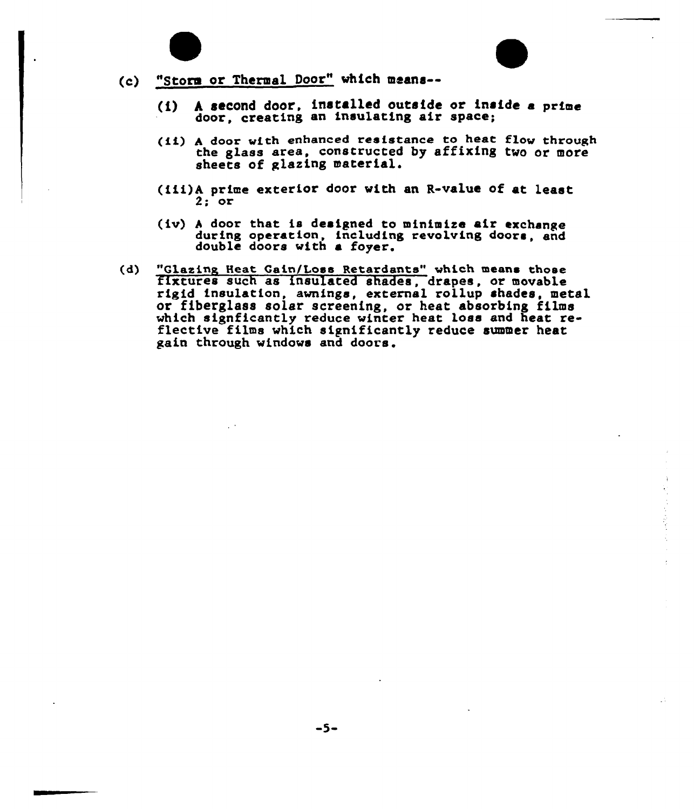



- {i) <sup>h</sup> second door, installed outside or inside <sup>a</sup> prim door, creating an insulating air space;
- (ii) <sup>A</sup> door with enhanced resistance to heat flow through the glass area, constructed by affixing two or more sheets of glazing material.
- (Cii)A prime exterior door with an R-value of at least  $2:$  or
- (iv) <sup>h</sup> door that is designed to minimize air exchange during operation, including revolving doors, and double doors with a foyer.
- (d) "Glazing Heat Gain/Loss Retardants" which means those fixtures such as insulated shades, drapes, or movable rigid insulation, awnings, external rollup shades, metal or fiberglass solar screening, or heat absorbing films which signficantly reduce winter heat loss and heat reflective films which significantly reduce summer heat gain through windows and doors.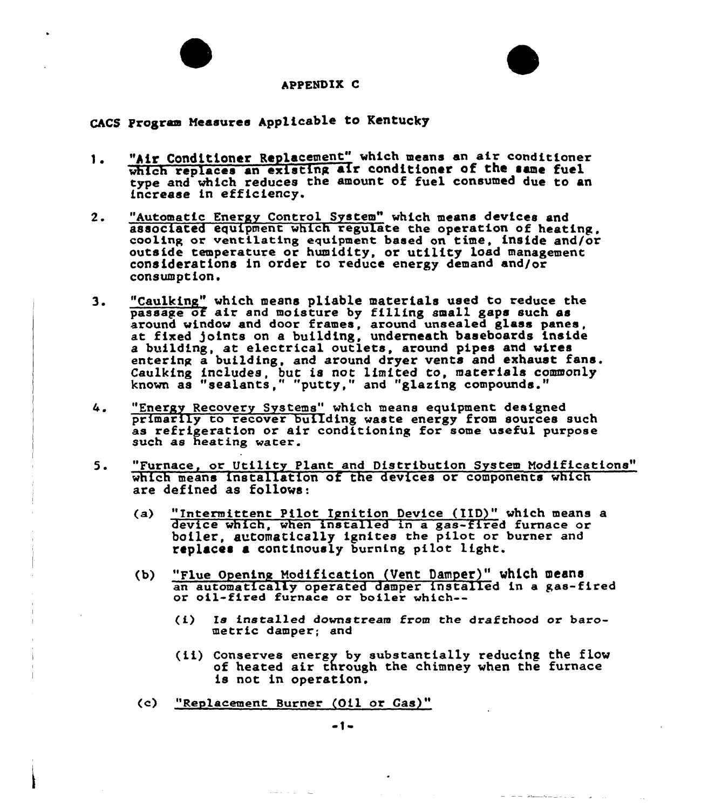



#### APPENDIX C

CACS Program Measures Applicable to Kentucky

- "hir Conditioner Replacement" which means an air conditioner 1. which replaces an existing air conditioner of the same fuel type and which reduces the amount of fuel consumed due to an increase in efficiency.
- $2.$ "Automatic Energy Control System" which means devices and associated equipment which regulate the operation of heating, cooling or ventilating equipment based on time, inside and/or outside temperature or humidity, or utility load management considerations in order to reduce energy demand and/or consumption.
- 3. "Caulking" which means pliable materials used to reduce the passage of air and moisture by filling small gaps such as around window and door frames, around unsealed glass panes at fixed joints on a building, underneath baseboards inside a building, at electrical outlets, around pipes and wires entering a building, and around dryer vents and exhaust fane. Caulking includes, but is not limited to, materials commonly known as "sealants," "putty," and "glazing compounds."
- "Energy Recovery Systems" which means equipment designed 4. primarily to recover building waste energy from sources such as refrigeration or air conditioning for some useful purpose such as heating water.
- 5. "Furnace, or Utility Plant and Distribution System Nodifications" which means installation of the devices or components which are defined as follows:
	- (a) "Intermittent Pilot Ignition Device (IID)" which means a device which, when installed in a gas-fired furnace or boiler, automatically ignites the pilot or burner and replaces a continously burning pilot light.
	- {b) "Flue Opening Hodification (Vent Damper}" which means an automatically operated damper installed in a gas-fired or oil-fired furnace or boiler which--
		- $(i)$  Is installed downstream from the drafthood or barometric damper; and
		- (ii) Conserves energy by substantially reducing the flow of heated air through the chimney when the furnace is not in operation.
	- (c) "Reylacement Burner (Oil or Gas)"